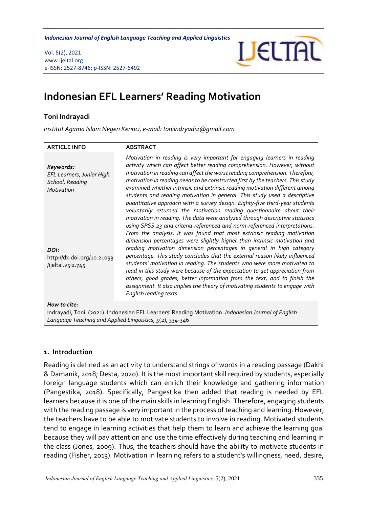*Indonesian Journal of English Language Teaching and Applied Linguistics* 

Vol. 5(2), 2021 www.ijeltal.org e-ISSN: 2527-8746; p-ISSN: 2527-6492



# **Indonesian EFL Learners' Reading Motivation**

## **Toni Indrayadi**

*Institut Agama Islam Negeri Kerinci, e-mail: toniindryadi2@gmail.com*

| <b>ARTICLE INFO</b>                                                                                                                | <b>ABSTRACT</b>                                                                                                                                                                                                                                                                                                                                                                                                                                                                                                                                                                                                                                                                                                                                                                                                                                                                     |
|------------------------------------------------------------------------------------------------------------------------------------|-------------------------------------------------------------------------------------------------------------------------------------------------------------------------------------------------------------------------------------------------------------------------------------------------------------------------------------------------------------------------------------------------------------------------------------------------------------------------------------------------------------------------------------------------------------------------------------------------------------------------------------------------------------------------------------------------------------------------------------------------------------------------------------------------------------------------------------------------------------------------------------|
| Keywords:<br>EFL Learners, Junior High<br>School, Reading<br>Motivation<br>DOI:<br>http://dx.doi.org/10.21093<br>/ijeltal.v5i2.745 | Motivation in reading is very important for engaging learners in reading<br>activity which can affect better reading comprehension. However, without<br>motivation in reading can affect the worst reading comprehension. Therefore,<br>motivation in reading needs to be constructed first by the teachers. This study<br>examined whether intrinsic and extrinsic reading motivation different among<br>students and reading motivation in general. This study used a descriptive<br>quantitative approach with a survey design. Eighty-five third-year students<br>voluntarily returned the motivation reading questionnaire about their<br>motivation in reading. The data were analyzed through descriptive statistics<br>using SPSS 23 and criteria-referenced and norm-referenced interpretations.<br>From the analysis, it was found that most extrinsic reading motivation |
|                                                                                                                                    | dimension percentages were slightly higher than intrinsic motivation and<br>reading motivation dimension percentages in general in high category<br>percentage. This study concludes that the external reason likely influenced<br>students' motivation in reading. The students who were more motivated to<br>read in this study were because of the expectation to get appreciation from<br>others, good grades, better information from the text, and to finish the<br>assignment. It also implies the theory of motivating students to engage with<br>English reading texts.                                                                                                                                                                                                                                                                                                    |
| How to cite:                                                                                                                       | $\mathbf{r}$ , and the second theoretically interesting the contract of the contract of the contract of the contract of the contract of the contract of the contract of the contract of the contract of the contract of the contr                                                                                                                                                                                                                                                                                                                                                                                                                                                                                                                                                                                                                                                   |

Indrayadi, Toni. (2021). Indonesian EFL Learners' Reading Motivation. *Indonesian Journal of English Language Teaching and Applied Linguistics, 5*(2), 334-346

### **1. Introduction**

Reading is defined as an activity to understand strings of words in a reading passage (Dakhi & Damanik, 2018; Desta, 2020). It is the most important skill required by students, especially foreign language students which can enrich their knowledge and gathering information (Pangestika, 2018). Specifically, Pangestika then added that reading is needed by EFL learners because it is one of the main skills in learning English. Therefore, engaging students with the reading passage is very important in the process of teaching and learning. However, the teachers have to be able to motivate students to involve in reading. Motivated students tend to engage in learning activities that help them to learn and achieve the learning goal because they will pay attention and use the time effectively during teaching and learning in the class (Jones, 2009). Thus, the teachers should have the ability to motivate students in reading (Fisher, 2013). Motivation in learning refers to a student's willingness, need, desire,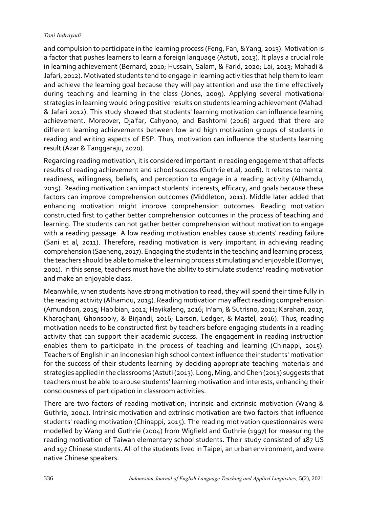and compulsion to participate in the learning process (Feng, Fan, &Yang, 2013). Motivation is a factor that pushes learners to learn a foreign language (Astuti, 2013). It plays a crucial role in learning achievement (Bernard, 2010; Hussain, Salam, & Farid, 2020; Lai, 2013; Mahadi & Jafari, 2012). Motivated students tend to engage in learning activities that help them to learn and achieve the learning goal because they will pay attention and use the time effectively during teaching and learning in the class (Jones, 2009). Applying several motivational strategies in learning would bring positive results on students learning achievement (Mahadi & Jafari 2012). This study showed that students' learning motivation can influence learning achievement. Moreover, Dja'far, Cahyono, and Bashtomi (2016) argued that there are different learning achievements between low and high motivation groups of students in reading and writing aspects of ESP. Thus, motivation can influence the students learning result (Azar & Tanggaraju, 2020).

Regarding reading motivation, it is considered important in reading engagement that affects results of reading achievement and school success (Guthrie et.al, 2006). It relates to mental readiness, willingness, beliefs, and perception to engage in a reading activity (Alhamdu, 2015). Reading motivation can impact students' interests, efficacy, and goals because these factors can improve comprehension outcomes (Middleton, 2011). Middle later added that enhancing motivation might improve comprehension outcomes. Reading motivation constructed first to gather better comprehension outcomes in the process of teaching and learning. The students can not gather better comprehension without motivation to engage with a reading passage. A low reading motivation enables cause students' reading failure (Sani et al, 2011). Therefore, reading motivation is very important in achieving reading comprehension (Saeheng, 2017). Engaging the students in the teaching and learning process, the teachers should be able to make the learning process stimulating and enjoyable (Dornyei, 2001). In this sense, teachers must have the ability to stimulate students' reading motivation and make an enjoyable class.

Meanwhile, when students have strong motivation to read, they will spend their time fully in the reading activity (Alhamdu, 2015). Reading motivation may affect reading comprehension (Amundson, 2015; Habibian, 2012; Hayikaleng, 2016; In'am, & Sutrisno, 2021; Karahan, 2017; Kharaghani, Ghonsooly, & Birjandi, 2016; Larson, Ledger, & Mastel, 2016). Thus, reading motivation needs to be constructed first by teachers before engaging students in a reading activity that can support their academic success. The engagement in reading instruction enables them to participate in the process of teaching and learning (Chinappi, 2015). Teachers of English in an Indonesian high school context influence their students' motivation for the success of their students learning by deciding appropriate teaching materials and strategies applied in the classrooms (Astuti (2013). Long, Ming, and Chen (2013) suggests that teachers must be able to arouse students' learning motivation and interests, enhancing their consciousness of participation in classroom activities.

There are two factors of reading motivation; intrinsic and extrinsic motivation (Wang & Guthrie, 2004). Intrinsic motivation and extrinsic motivation are two factors that influence students' reading motivation (Chinappi, 2015). The reading motivation questionnaires were modelled by Wang and Guthrie (2004) from Wigfield and Guthrie (1997) for measuring the reading motivation of Taiwan elementary school students. Their study consisted of 187 US and 197 Chinese students. All of the students lived in Taipei, an urban environment, and were native Chinese speakers.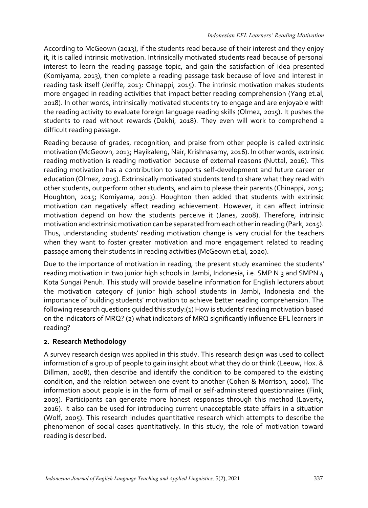According to McGeown (2013), if the students read because of their interest and they enjoy it, it is called intrinsic motivation. Intrinsically motivated students read because of personal interest to learn the reading passage topic, and gain the satisfaction of idea presented (Komiyama, 2013), then complete a reading passage task because of love and interest in reading task itself (Jeriffe, 2013: Chinappi, 2015). The intrinsic motivation makes students more engaged in reading activities that impact better reading comprehension (Yang et.al, 2018). In other words, intrinsically motivated students try to engage and are enjoyable with the reading activity to evaluate foreign language reading skills (Olmez, 2015). It pushes the students to read without rewards (Dakhi, 2018). They even will work to comprehend a difficult reading passage.

Reading because of grades, recognition, and praise from other people is called extrinsic motivation (McGeown, 2013; Hayikaleng, Nair, Krishnasamy, 2016). In other words, extrinsic reading motivation is reading motivation because of external reasons (Nuttal, 2016). This reading motivation has a contribution to supports self-development and future career or education (Olmez, 2015). Extrinsically motivated students tend to share what they read with other students, outperform other students, and aim to please their parents (Chinappi, 2015; Houghton, 2015; Komiyama, 2013). Houghton then added that students with extrinsic motivation can negatively affect reading achievement. However, it can affect intrinsic motivation depend on how the students perceive it (Janes, 2008). Therefore, intrinsic motivation and extrinsic motivation can be separated from each other in reading (Park, 2015). Thus, understanding students' reading motivation change is very crucial for the teachers when they want to foster greater motivation and more engagement related to reading passage among their students in reading activities (McGeown et.al, 2020).

Due to the importance of motivation in reading, the present study examined the students' reading motivation in two junior high schools in Jambi, Indonesia, i.e. SMP N 3 and SMPN 4 Kota Sungai Penuh. This study will provide baseline information for English lecturers about the motivation category of junior high school students in Jambi, Indonesia and the importance of building students' motivation to achieve better reading comprehension. The following research questions guided this study:(1) How is students' reading motivation based on the indicators of MRQ? (2) what indicators of MRQ significantly influence EFL learners in reading?

# **2. Research Methodology**

A survey research design was applied in this study. This research design was used to collect information of a group of people to gain insight about what they do or think (Leeuw, Hox. & Dillman, 2008), then describe and identify the condition to be compared to the existing condition, and the relation between one event to another (Cohen & Morrison, 2000). The information about people is in the form of mail or self-administered questionnaires (Fink, 2003). Participants can generate more honest responses through this method (Laverty, 2016). It also can be used for introducing current unacceptable state affairs in a situation (Wolf, 2005). This research includes quantitative research which attempts to describe the phenomenon of social cases quantitatively. In this study, the role of motivation toward reading is described.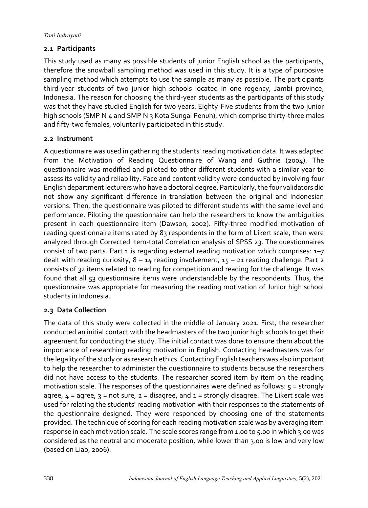# **2.1 Participants**

This study used as many as possible students of junior English school as the participants, therefore the snowball sampling method was used in this study. It is a type of purposive sampling method which attempts to use the sample as many as possible. The participants third-year students of two junior high schools located in one regency, Jambi province, Indonesia. The reason for choosing the third-year students as the participants of this study was that they have studied English for two years. Eighty-Five students from the two junior high schools (SMP N 4 and SMP N 3 Kota Sungai Penuh), which comprise thirty-three males and fifty-two females, voluntarily participated in this study.

# **2.2 Instrument**

A questionnaire was used in gathering the students' reading motivation data. It was adapted from the Motivation of Reading Questionnaire of Wang and Guthrie (2004). The questionnaire was modified and piloted to other different students with a similar year to assess its validity and reliability. Face and content validity were conducted by involving four English department lecturers who have a doctoral degree. Particularly, the four validators did not show any significant difference in translation between the original and Indonesian versions. Then, the questionnaire was piloted to different students with the same level and performance. Piloting the questionnaire can help the researchers to know the ambiguities present in each questionnaire item (Dawson, 2002). Fifty-three modified motivation of reading questionnaire items rated by 83 respondents in the form of Likert scale, then were analyzed through Corrected item-total Correlation analysis of SPSS 23. The questionnaires consist of two parts. Part 1 is regarding external reading motivation which comprises:  $1-7$ dealt with reading curiosity,  $8 - 14$  reading involvement,  $15 - 21$  reading challenge. Part 2 consists of 32 items related to reading for competition and reading for the challenge. It was found that all 53 questionnaire items were understandable by the respondents. Thus, the questionnaire was appropriate for measuring the reading motivation of Junior high school students in Indonesia.

# **2.3 Data Collection**

The data of this study were collected in the middle of January 2021. First, the researcher conducted an initial contact with the headmasters of the two junior high schools to get their agreement for conducting the study. The initial contact was done to ensure them about the importance of researching reading motivation in English. Contacting headmasters was for the legality of the study or as research ethics. Contacting English teachers was also important to help the researcher to administer the questionnaire to students because the researchers did not have access to the students. The researcher scored item by item on the reading motivation scale. The responses of the questionnaires were defined as follows:  $5 =$  strongly agree,  $4 =$  agree,  $3 =$  not sure,  $2 =$  disagree, and  $1 =$  strongly disagree. The Likert scale was used for relating the students' reading motivation with their responses to the statements of the questionnaire designed. They were responded by choosing one of the statements provided. The technique of scoring for each reading motivation scale was by averaging item response in each motivation scale. The scale scores range from 1.00 to 5.00 in which 3.00 was considered as the neutral and moderate position, while lower than 3.00 is low and very low (based on Liao, 2006).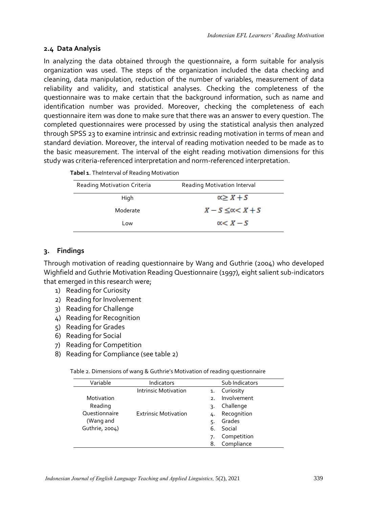# **2.4 Data Analysis**

In analyzing the data obtained through the questionnaire, a form suitable for analysis organization was used. The steps of the organization included the data checking and cleaning, data manipulation, reduction of the number of variables, measurement of data reliability and validity, and statistical analyses. Checking the completeness of the questionnaire was to make certain that the background information, such as name and identification number was provided. Moreover, checking the completeness of each questionnaire item was done to make sure that there was an answer to every question. The completed questionnaires were processed by using the statistical analysis then analyzed through SPSS 23 to examine intrinsic and extrinsic reading motivation in terms of mean and standard deviation. Moreover, the interval of reading motivation needed to be made as to the basic measurement. The interval of the eight reading motivation dimensions for this study was criteria-referenced interpretation and norm-referenced interpretation.

| Reading Motivation Criteria | Reading Motivation Interval |  |
|-----------------------------|-----------------------------|--|
| High                        | $x \geq X + S$              |  |
| Moderate                    | $X-S \leq c < X+S$          |  |
| Low                         | $x < X - S$                 |  |

# **3. Findings**

Through motivation of reading questionnaire by Wang and Guthrie (2004) who developed Wighfield and Guthrie Motivation Reading Questionnaire (1997), eight salient sub-indicators that emerged in this research were;

- 1) Reading for Curiosity
- 2) Reading for Involvement
- 3) Reading for Challenge
- 4) Reading for Recognition
- 5) Reading for Grades
- 6) Reading for Social
- 7) Reading for Competition
- 8) Reading for Compliance (see table 2)

Table 2. Dimensions of wang & Guthrie's Motivation of reading questionnaire

| Variable       | Indicators                  |                 | Sub Indicators |
|----------------|-----------------------------|-----------------|----------------|
|                | <b>Intrinsic Motivation</b> | 1.              | Curiosity      |
| Motivation     |                             | $\mathcal{P}$ . | Involvement    |
| Reading        |                             | 3.              | Challenge      |
| Questionnaire  | <b>Extrinsic Motivation</b> | 4.              | Recognition    |
| (Wang and      |                             | 5.              | Grades         |
| Guthrie, 2004) |                             | 6.              | Social         |
|                |                             |                 | Competition    |
|                |                             | 8.              | Compliance     |
|                |                             |                 |                |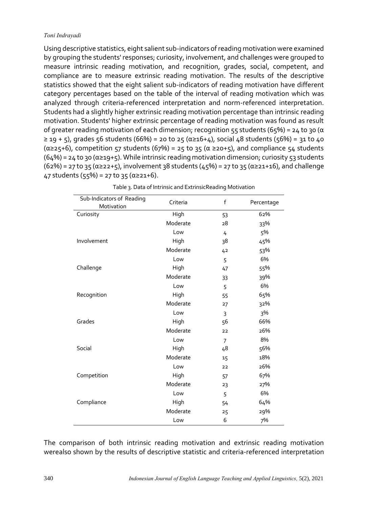Using descriptive statistics, eight salient sub-indicators of reading motivation were examined by grouping the students' responses; curiosity, involvement, and challenges were grouped to measure intrinsic reading motivation, and recognition, grades, social, competent, and compliance are to measure extrinsic reading motivation. The results of the descriptive statistics showed that the eight salient sub-indicators of reading motivation have different category percentages based on the table of the interval of reading motivation which was analyzed through criteria-referenced interpretation and norm-referenced interpretation. Students had a slightly higher extrinsic reading motivation percentage than intrinsic reading motivation. Students' higher extrinsic percentage of reading motivation was found as result of greater reading motivation of each dimension; recognition 55 students (65%) = 24 to 30 (α ≥ 19 + 5), grades 56 students (66%) = 20 to 25 (α≥16+4), social 48 students (56%) = 31 to 40  $(\alpha \ge 25+6)$ , competition 57 students (67%) = 25 to 35 ( $\alpha \ge 20+5$ ), and compliance 54 students  $(64%) = 24$  to 30 ( $\alpha \ge 19 + 5$ ). While intrinsic reading motivation dimension; curiosity 53 students  $(62%) = 27$  to 35 ( $\alpha \ge 22 + 5$ ), involvement 38 students (45%) = 27 to 35 ( $\alpha \ge 21+16$ ), and challenge 47 students (55%) = 27 to 35 (α ≥ 21+6).

| Sub-Indicators of Reading<br>Motivation | Criteria | f              | Percentage |
|-----------------------------------------|----------|----------------|------------|
| Curiosity                               | High     | 53             | 62%        |
|                                         | Moderate | 28             | 33%        |
|                                         | Low      | 4              | 5%         |
| Involvement                             | High     | 38             | 45%        |
|                                         | Moderate | 4 <sup>2</sup> | 53%        |
|                                         | Low      | 5              | 6%         |
| Challenge                               | High     | 47             | 55%        |
|                                         | Moderate | 33             | 39%        |
|                                         | Low      | 5              | 6%         |
| Recognition                             | High     | 55             | 65%        |
|                                         | Moderate | 27             | 32%        |
|                                         | Low      | 3              | 3%         |
| Grades                                  | High     | 56             | 66%        |
|                                         | Moderate | 22             | 26%        |
|                                         | Low      | $\overline{7}$ | 8%         |
| Social                                  | High     | 48             | 56%        |
|                                         | Moderate | 15             | 18%        |
|                                         | Low      | 22             | 26%        |
| Competition                             | High     | 57             | 67%        |
|                                         | Moderate | 23             | 27%        |
|                                         | Low      | 5              | 6%         |
| Compliance                              | High     | 54             | 64%        |
|                                         | Moderate | 25             | 29%        |
|                                         | Low      | 6              | 7%         |

| Table 3. Data of Intrinsic and ExtrinsicReading Motivation |  |
|------------------------------------------------------------|--|
|------------------------------------------------------------|--|

The comparison of both intrinsic reading motivation and extrinsic reading motivation werealso shown by the results of descriptive statistic and criteria-referenced interpretation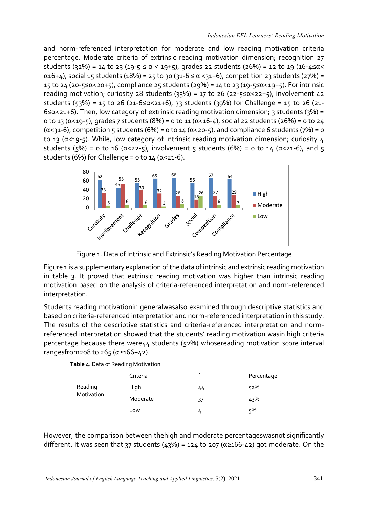and norm-referenced interpretation for moderate and low reading motivation criteria percentage. Moderate criteria of extrinsic reading motivation dimension; recognition 27 students (32%) = 14 to 23 (19-5  $\le \alpha$  < 19+5), grades 22 students (26%) = 12 to 19 (16-4 $\le \alpha$ <  $α16+4$ ), social 15 students (18%) = 25 to 30 (31-6 ≤ α <31+6), competition 23 students (27%) = 15 to 24 (20-5≤α<20+5), compliance 25 students (29%) = 14 to 23 (19-5≤α<19+5). For intrinsic reading motivation; curiosity 28 students (33%) = 17 to 26 (22-5 ≤  $\alpha$  < 22+5), involvement 42 students (53%) = 15 to 26 (21-6≤α<21+6), 33 students (39%) for Challenge = 15 to 26 (21- $6 \le \alpha \le 21+6$ ). Then, low category of extrinsic reading motivation dimension; 3 students (3%) = 0 to 13 (α<19-5), grades 7 students (8%) = 0 to 11 (α<16-4), social 22 students (26%) = 0 to 24 ( $\alpha$ <31-6), competition 5 students (6%) = 0 to 14 ( $\alpha$ <20-5), and compliance 6 students (7%) = 0 to 13 (α<19-5). While, low category of intrinsic reading motivation dimension; curiosity 4 students (5%) = 0 to 16 ( $\alpha$ <22-5), involvement 5 students (6%) = 0 to 14 ( $\alpha$ <21-6), and 5 students (6%) for Challenge =  $0$  to  $14$  ( $\alpha$ <21-6).



Figure 1. Data of Intrinsic and Extrinsic's Reading Motivation Percentage

Figure 1 is a supplementary explanation of the data of intrinsic and extrinsic reading motivation in table 3. It proved that extrinsic reading motivation was higher than intrinsic reading motivation based on the analysis of criteria-referenced interpretation and norm-referenced interpretation.

Students reading motivationin generalwasalso examined through descriptive statistics and based on criteria-referenced interpretation and norm-referenced interpretation in this study. The results of the descriptive statistics and criteria-referenced interpretation and normreferenced interpretation showed that the students' reading motivation wasin high criteria percentage because there were44 students (52%) whosereading motivation score interval rangesfrom208 to 265 ( $α \ge 166 + 42$ ).

| Reading<br>Motivation | Criteria |    | Percentage |
|-----------------------|----------|----|------------|
|                       | High     | 44 | 52%        |
|                       | Moderate | 37 | 43%        |
|                       | Low      | 4  | 5%         |

|  | Table 4. Data of Reading Motivation |
|--|-------------------------------------|
|  |                                     |

However, the comparison between thehigh and moderate percentageswasnot significantly different. It was seen that 37 students (43%) = 124 to 207 ( $\alpha \ge 166 - 42$ ) got moderate. On the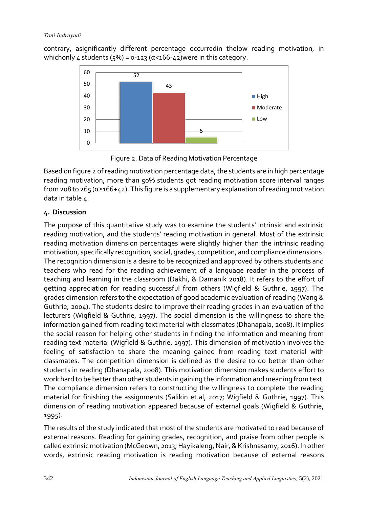contrary, asignificantly different percentage occurredin thelow reading motivation, in whichonly  $\Delta$  students (5%) = 0-123 ( $\alpha$ <166- $\Delta$ 2)were in this category.



Figure 2. Data of Reading Motivation Percentage

Based on figure 2 of reading motivation percentage data, the students are in high percentage reading motivation, more than 50% students got reading motivation score interval ranges from 208 to 265 ( $\alpha \ge 166 + 42$ ). This figure is a supplementary explanation of reading motivation data in table 4.

# **4. Discussion**

The purpose of this quantitative study was to examine the students' intrinsic and extrinsic reading motivation, and the students' reading motivation in general. Most of the extrinsic reading motivation dimension percentages were slightly higher than the intrinsic reading motivation, specifically recognition, social, grades, competition, and compliance dimensions. The recognition dimension is a desire to be recognized and approved by others students and teachers who read for the reading achievement of a language reader in the process of teaching and learning in the classroom (Dakhi, & Damanik 2018). It refers to the effort of getting appreciation for reading successful from others (Wigfield & Guthrie, 1997). The grades dimension refers to the expectation of good academic evaluation of reading (Wang & Guthrie, 2004). The students desire to improve their reading grades in an evaluation of the lecturers (Wigfield & Guthrie, 1997). The social dimension is the willingness to share the information gained from reading text material with classmates (Dhanapala, 2008). It implies the social reason for helping other students in finding the information and meaning from reading text material (Wigfield & Guthrie, 1997). This dimension of motivation involves the feeling of satisfaction to share the meaning gained from reading text material with classmates. The competition dimension is defined as the desire to do better than other students in reading (Dhanapala, 2008). This motivation dimension makes students effort to work hard to be better than other students in gaining the information and meaning from text. The compliance dimension refers to constructing the willingness to complete the reading material for finishing the assignments (Salikin et.al, 2017; Wigfield & Guthrie, 1997). This dimension of reading motivation appeared because of external goals (Wigfield & Guthrie, 1995).

The results of the study indicated that most of the students are motivated to read because of external reasons. Reading for gaining grades, recognition, and praise from other people is called extrinsic motivation (McGeown, 2013; Hayikaleng, Nair, & Krishnasamy, 2016). In other words, extrinsic reading motivation is reading motivation because of external reasons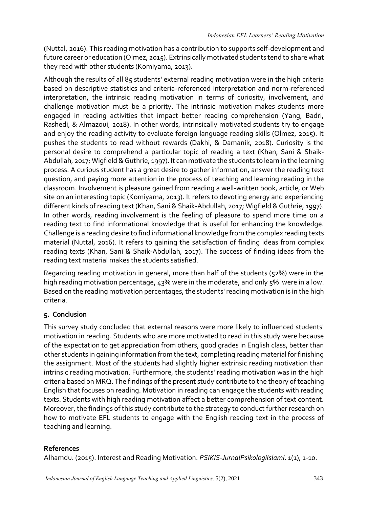(Nuttal, 2016). This reading motivation has a contribution to supports self-development and future career or education (Olmez, 2015). Extrinsically motivated students tend to share what they read with other students (Komiyama, 2013).

Although the results of all 85 students' external reading motivation were in the high criteria based on descriptive statistics and criteria-referenced interpretation and norm-referenced interpretation, the intrinsic reading motivation in terms of curiosity, involvement, and challenge motivation must be a priority. The intrinsic motivation makes students more engaged in reading activities that impact better reading comprehension (Yang, Badri, Rashedi, & Almazoui, 2018). In other words, intrinsically motivated students try to engage and enjoy the reading activity to evaluate foreign language reading skills (Olmez, 2015). It pushes the students to read without rewards (Dakhi, & Damanik, 2018). Curiosity is the personal desire to comprehend a particular topic of reading a text (Khan, Sani & Shaik-Abdullah, 2017; Wigfield & Guthrie, 1997). It can motivate the students to learn in the learning process. A curious student has a great desire to gather information, answer the reading text question, and paying more attention in the process of teaching and learning reading in the classroom. Involvement is pleasure gained from reading a well-written book, article, or Web site on an interesting topic (Komiyama, 2013). It refers to devoting energy and experiencing different kinds of reading text (Khan, Sani & Shaik-Abdullah, 2017; Wigfield & Guthrie, 1997). In other words, reading involvement is the feeling of pleasure to spend more time on a reading text to find informational knowledge that is useful for enhancing the knowledge. Challenge is a reading desire to find informational knowledge from the complex reading texts material (Nuttal, 2016). It refers to gaining the satisfaction of finding ideas from complex reading texts (Khan, Sani & Shaik-Abdullah, 2017). The success of finding ideas from the reading text material makes the students satisfied.

Regarding reading motivation in general, more than half of the students (52%) were in the high reading motivation percentage, 43% were in the moderate, and only 5% were in a low. Based on the reading motivation percentages, the students' reading motivation is in the high criteria.

# **5. Conclusion**

This survey study concluded that external reasons were more likely to influenced students' motivation in reading. Students who are more motivated to read in this study were because of the expectation to get appreciation from others, good grades in English class, better than other students in gaining information from the text, completing reading material for finishing the assignment. Most of the students had slightly higher extrinsic reading motivation than intrinsic reading motivation. Furthermore, the students' reading motivation was in the high criteria based on MRQ. The findings of the present study contribute to the theory of teaching English that focuses on reading. Motivation in reading can engage the students with reading texts. Students with high reading motivation affect a better comprehension of text content. Moreover, the findings of this study contribute to the strategy to conduct further research on how to motivate EFL students to engage with the English reading text in the process of teaching and learning.

# **References**

Alhamdu. (2015). Interest and Reading Motivation. *PSIKIS-JurnalPsikologiIslami*. 1(1), 1-10.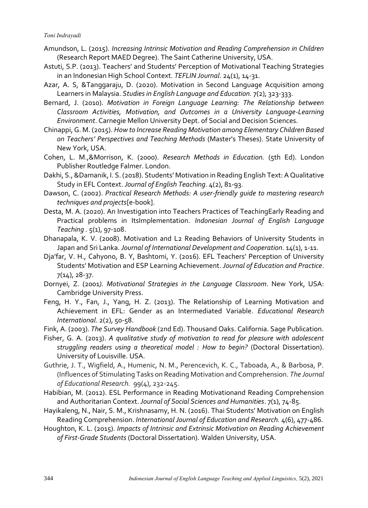- Amundson, L. (2015). *Increasing Intrinsic Motivation and Reading Comprehension in Children* (Research Report MAED Degree). The Saint Catherine University, USA.
- Astuti, S.P. (2013). Teachers' and Students' Perception of Motivational Teaching Strategies in an Indonesian High School Context. *TEFLIN Journal*. 24(1), 14-31.
- Azar, A. S, &Tanggaraju, D. (2020). Motivation in Second Language Acquisition among Learners in Malaysia. *Studies in English Language and Education.* 7(2), 323-333.
- Bernard, J. (2010). *Motivation in Foreign Language Learning: The Relationship between Classroom Activities, Motivation, and Outcomes in a University Language-Learning Environment*. Carnegie Mellon University Dept. of Social and Decision Sciences.
- Chinappi, G. M. (2015). *How to Increase Reading Motivation among Elementary Children Based on Teachers' Perspectives and Teaching Methods* (Master's Theses). State University of New York, USA.
- Cohen, L. M.,&Morrison, K. (2000). *Research Methods in Education.* (5th Ed). London Publisher Routledge Falmer. London.
- Dakhi, S., &Damanik, I. S. (2018). Students' Motivation in Reading English Text: A Qualitative Study in EFL Context. *Journal of English Teaching*. 4(2), 81-93.
- Dawson, C. (2002). *Practical Research Methods: A user-friendly guide to mastering research techniques and projects*[e-book].
- Desta, M. A. (2020). An Investigation into Teachers Practices of TeachingEarly Reading and Practical problems in ItsImplementation. *Indonesian Journal of English Language Teaching .* 5(1), 97-108.
- Dhanapala, K. V. (2008). Motivation and L2 Reading Behaviors of University Students in Japan and Sri Lanka. *Journal of International Development and Cooperation*. 14(1), 1-11.
- Dja'far, V. H., Cahyono, B. Y, Bashtomi, Y. (2016). EFL Teachers' Perception of University Students' Motivation and ESP Learning Achievement. *Journal of Education and Practice*. 7(14), 28-37.
- Dornyei, Z. (2001*). Motivational Strategies in the Language Classroom*. New York, USA: Cambridge University Press.
- Feng, H. Y., Fan, J., Yang, H. Z. (2013). The Relationship of Learning Motivation and Achievement in EFL: Gender as an Intermediated Variable. *Educational Research International*. 2(2), 50-58.
- Fink, A. (2003). *The Survey Handbook* (2nd Ed). Thousand Oaks. California. Sage Publication.
- Fisher, G. A. (2013). *A qualitative study of motivation to read for pleasure with adolescent struggling readers using a theoretical model : How to begin?* (Doctoral Dissertation). University of Louisville. USA.
- Guthrie, J. T., Wigfield, A., Humenic, N. M., Perencevich, K. C., Taboada, A., & Barbosa, P. (Influences of Stimulating Tasks on Reading Motivation and Comprehension. *The Journal of Educational Research.* 99(4), 232-245.
- Habibian, M. (2012). ESL Performance in Reading Motivationand Reading Comprehension and Authoritarian Context. *Journal of Social Sciences and Humanities*. 7(1), 74-85.
- Hayikaleng, N., Nair, S. M., Krishnasamy, H. N. (2016). Thai Students' Motivation on English Reading Comprehension. *International Journal of Education and Research.* 4(6), 477-486.
- Houghton, K. L. (2015). *Impacts of Intrinsic and Extrinsic Motivation on Reading Achievement of First-Grade Students* (Doctoral Dissertation). Walden University, USA.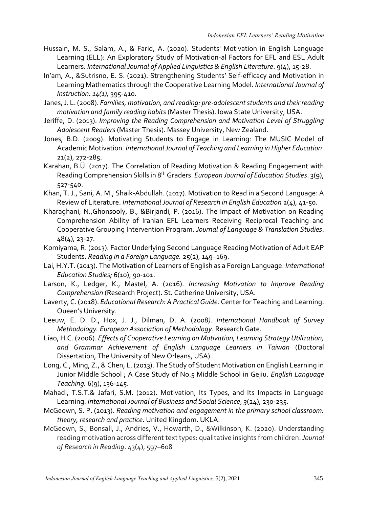- Hussain, M. S., Salam, A., & Farid, A. (2020). Students' Motivation in English Language Learning (ELL): An Exploratory Study of Motivation-al Factors for EFL and ESL Adult Learners. *International Journal of Applied Linguistics & English Literature*. 9(4), 15-28.
- In'am, A., &Sutrisno, E. S. (2021). Strengthening Students' Self-efficacy and Motivation in Learning Mathematics through the Cooperative Learning Model. *International Journal of Instruction. 14(1),* 395-410.
- Janes, J. L. (2008). *Families, motivation, and reading: pre-adolescent students and their reading motivation and family reading habits* (Master Thesis). Iowa State University, USA.
- Jeriffe, D. (2013). *Improving the Reading Comprehension and Motivation Level of Struggling Adolescent Readers* (Master Thesis). Massey University, New Zealand.
- Jones, B.D. (2009). Motivating Students to Engage in Learning: The MUSIC Model of Academic Motivation*. International Journal of Teaching and Learning in Higher Education*. 21(2), 272-285.
- Karahan, B.Ü. (2017). The Correlation of Reading Motivation & Reading Engagement with Reading Comprehension Skills in 8th Graders. *European Journal of Education Studies*. 3(9), 527-540.
- Khan, T. J., Sani, A. M., Shaik-Abdullah. (2017). Motivation to Read in a Second Language: A Review of Literature. *International Journal of Research in English Education* 2(4), 41-50.
- Kharaghani, N.,Ghonsooly, B., &Birjandi, P. (2016). The Impact of Motivation on Reading Comprehension Ability of Iranian EFL Learners Receiving Reciprocal Teaching and Cooperative Grouping Intervention Program. *Journal of Language & Translation Studies*. 48(4), 23-27.
- Komiyama, R. (2013). Factor Underlying Second Language Reading Motivation of Adult EAP Students. *Reading in a Foreign Language.* 25(2), 149–169.
- Lai, H.Y.T. (2013). The Motivation of Learners of English as a Foreign Language. *International Education Studies;* 6(10), 90-101.
- Larson, K., Ledger, K., Mastel, A. (2016). *Increasing Motivation to Improve Reading Comprehension* (Research Project). St. Catherine University, USA.
- Laverty, C. (2018). *Educational Research: A Practical Guide*. Center for Teaching and Learning. Queen's University.
- Leeuw, E. D. D., Hox, J. J., Dilman, D. A. (2008*). International Handbook of Survey Methodology. European Association of Methodology*. Research Gate.
- Liao, H.C. (2006). *Effects of Cooperative Learning on Motivation, Learning Strategy Utilization, and Grammar Achievement of English Language Learners in Taiwan* (Doctoral Dissertation, The University of New Orleans, USA).
- Long, C., Ming, Z., & Chen, L. (2013). The Study of Student Motivation on English Learning in Junior Middle School ; A Case Study of No.5 Middle School in Gejiu. *English Language Teaching.* 6(9), 136-145.
- Mahadi, T.S.T.& Jafari, S.M. (2012). Motivation, Its Types, and Its Impacts in Language Learning. *International Journal of Business and Social Science*, *3*(24), 230-235.
- McGeown, S. P. (2013). *Reading motivation and engagement in the primary school classroom: theory, research and practice*. United Kingdom. UKLA.
- McGeown, S., Bonsall, J., Andries, V., Howarth, D., &Wilkinson, K. (2020). Understanding reading motivation across different text types: qualitative insights from children. *Journal of Research in Reading*. 43(4), 597–608